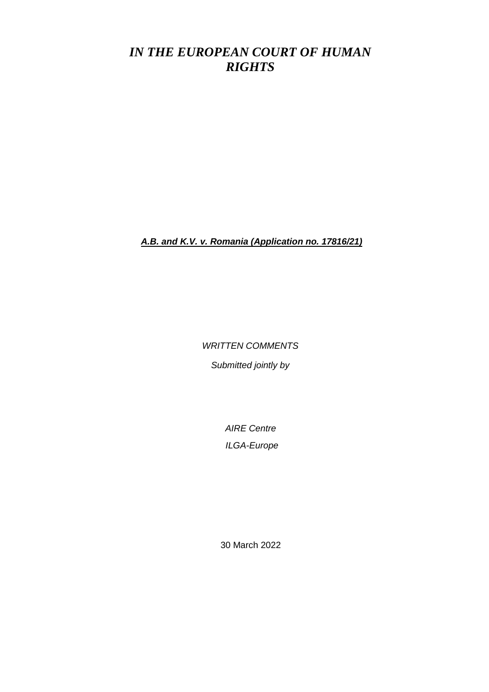# *IN THE EUROPEAN COURT OF HUMAN RIGHTS*

*A.B. and K.V. v. Romania (Application no. 17816/21)*

*WRITTEN COMMENTS*

*Submitted jointly by*

*AIRE Centre ILGA-Europe*

30 March 2022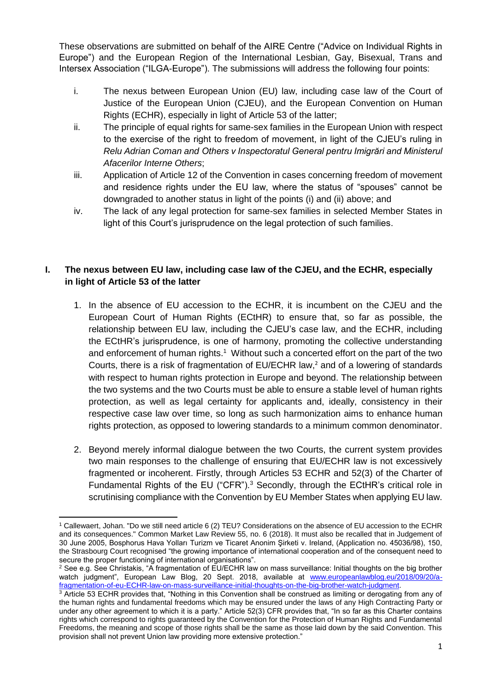These observations are submitted on behalf of the AIRE Centre ("Advice on Individual Rights in Europe") and the European Region of the International Lesbian, Gay, Bisexual, Trans and Intersex Association ("ILGA-Europe"). The submissions will address the following four points:

- i. The nexus between European Union (EU) law, including case law of the Court of Justice of the European Union (CJEU), and the European Convention on Human Rights (ECHR), especially in light of Article 53 of the latter;
- ii. The principle of equal rights for same-sex families in the European Union with respect to the exercise of the right to freedom of movement, in light of the CJEU's ruling in *Relu Adrian Coman and Others v Inspectoratul General pentru Imigrări and Ministerul Afacerilor Interne Others*;
- iii. Application of Article 12 of the Convention in cases concerning freedom of movement and residence rights under the EU law, where the status of "spouses" cannot be downgraded to another status in light of the points (i) and (ii) above; and
- iv. The lack of any legal protection for same-sex families in selected Member States in light of this Court's jurisprudence on the legal protection of such families.

## **I. The nexus between EU law, including case law of the CJEU, and the ECHR, especially in light of Article 53 of the latter**

- 1. In the absence of EU accession to the ECHR, it is incumbent on the CJEU and the European Court of Human Rights (ECtHR) to ensure that, so far as possible, the relationship between EU law, including the CJEU's case law, and the ECHR, including the ECtHR's jurisprudence, is one of harmony, promoting the collective understanding and enforcement of human rights.<sup>1</sup> Without such a concerted effort on the part of the two Courts, there is a risk of fragmentation of EU/ECHR law, <sup>2</sup> and of a lowering of standards with respect to human rights protection in Europe and beyond. The relationship between the two systems and the two Courts must be able to ensure a stable level of human rights protection, as well as legal certainty for applicants and, ideally, consistency in their respective case law over time, so long as such harmonization aims to enhance human rights protection, as opposed to lowering standards to a minimum common denominator.
- 2. Beyond merely informal dialogue between the two Courts, the current system provides two main responses to the challenge of ensuring that EU/ECHR law is not excessively fragmented or incoherent. Firstly, through Articles 53 ECHR and 52(3) of the Charter of Fundamental Rights of the EU ("CFR").<sup>3</sup> Secondly, through the ECtHR's critical role in scrutinising compliance with the Convention by EU Member States when applying EU law.

<sup>1</sup> <sup>1</sup> Callewaert, Johan. "Do we still need article 6 (2) TEU? Considerations on the absence of EU accession to the ECHR and its consequences." Common Market Law Review 55, no. 6 (2018). It must also be recalled that in Judgement of 30 June 2005, Bosphorus Hava Yolları Turizm ve Ticaret Anonim Şirketi v. Ireland, (Application no. 45036/98), 150, the Strasbourg Court recognised "the growing importance of international cooperation and of the consequent need to secure the proper functioning of international organisations".

<sup>2</sup> See e.g. See Christakis, "A fragmentation of EU/ECHR law on mass surveillance: Initial thoughts on the big brother watch judgment", European Law Blog, 20 Sept. 2018, available at [www.europeanlawblog.eu/2018/09/20/a](http://www.europeanlawblog.eu/2018/09/20/a-fragmentation-of-eu-ECHR-law-on-mass-surveillance-initial-thoughts-on-the-big-brother-watch-judgment)[fragmentation-of-eu-ECHR-law-on-mass-surveillance-initial-thoughts-on-the-big-brother-watch-judgment.](http://www.europeanlawblog.eu/2018/09/20/a-fragmentation-of-eu-ECHR-law-on-mass-surveillance-initial-thoughts-on-the-big-brother-watch-judgment)

 $3$  Article 53 ECHR provides that, "Nothing in this Convention shall be construed as limiting or derogating from any of the human rights and fundamental freedoms which may be ensured under the laws of any High Contracting Party or under any other agreement to which it is a party." Article 52(3) CFR provides that, "In so far as this Charter contains rights which correspond to rights guaranteed by the Convention for the Protection of Human Rights and Fundamental Freedoms, the meaning and scope of those rights shall be the same as those laid down by the said Convention. This provision shall not prevent Union law providing more extensive protection."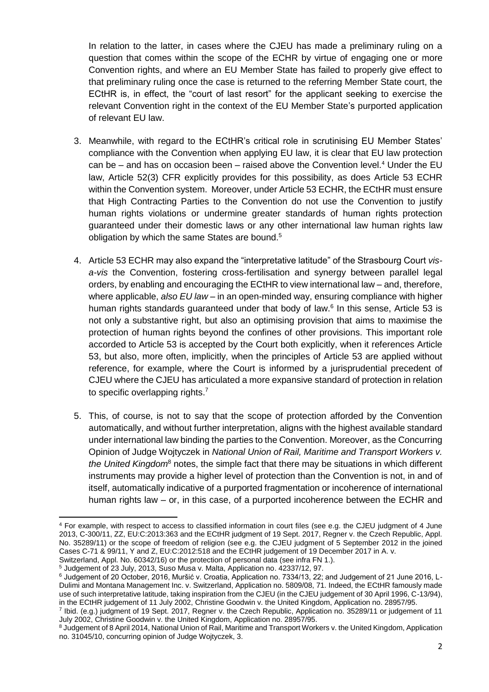In relation to the latter, in cases where the CJEU has made a preliminary ruling on a question that comes within the scope of the ECHR by virtue of engaging one or more Convention rights, and where an EU Member State has failed to properly give effect to that preliminary ruling once the case is returned to the referring Member State court, the ECtHR is, in effect, the "court of last resort" for the applicant seeking to exercise the relevant Convention right in the context of the EU Member State's purported application of relevant EU law.

- 3. Meanwhile, with regard to the ECtHR's critical role in scrutinising EU Member States' compliance with the Convention when applying EU law, it is clear that EU law protection can be – and has on occasion been – raised above the Convention level.<sup>4</sup> Under the EU law, Article 52(3) CFR explicitly provides for this possibility, as does Article 53 ECHR within the Convention system. Moreover, under Article 53 ECHR, the ECtHR must ensure that High Contracting Parties to the Convention do not use the Convention to justify human rights violations or undermine greater standards of human rights protection guaranteed under their domestic laws or any other international law human rights law obligation by which the same States are bound.<sup>5</sup>
- 4. Article 53 ECHR may also expand the "interpretative latitude" of the Strasbourg Court *visa-vis* the Convention, fostering cross-fertilisation and synergy between parallel legal orders, by enabling and encouraging the ECtHR to view international law – and, therefore, where applicable, *also EU law* – in an open-minded way, ensuring compliance with higher human rights standards guaranteed under that body of law.<sup>6</sup> In this sense, Article 53 is not only a substantive right, but also an optimising provision that aims to maximise the protection of human rights beyond the confines of other provisions. This important role accorded to Article 53 is accepted by the Court both explicitly, when it references Article 53, but also, more often, implicitly, when the principles of Article 53 are applied without reference, for example, where the Court is informed by a jurisprudential precedent of CJEU where the CJEU has articulated a more expansive standard of protection in relation to specific overlapping rights.<sup>7</sup>
- 5. This, of course, is not to say that the scope of protection afforded by the Convention automatically, and without further interpretation, aligns with the highest available standard under international law binding the parties to the Convention. Moreover, as the Concurring Opinion of Judge Wojtyczek in *National Union of Rail, Maritime and Transport Workers v. the United Kingdom*<sup>8</sup> notes, the simple fact that there may be situations in which different instruments may provide a higher level of protection than the Convention is not, in and of itself, automatically indicative of a purported fragmentation or incoherence of international human rights law – or, in this case, of a purported incoherence between the ECHR and

Switzerland, Appl. No. 60342/16) or the protection of personal data (see infra FN 1.). <sup>5</sup> Judgement of 23 July, 2013, Suso Musa v. Malta, Application no. 42337/12, 97.

1

<sup>4</sup> For example, with respect to access to classified information in court files (see e.g. the CJEU judgment of 4 June 2013, C-300/11, ZZ, EU:C:2013:363 and the ECtHR judgment of 19 Sept. 2017, Regner v. the Czech Republic, Appl. No. 35289/11) or the scope of freedom of religion (see e.g. the CJEU judgment of 5 September 2012 in the joined Cases C-71 & 99/11, Y and Z, EU:C:2012:518 and the ECtHR judgement of 19 December 2017 in A. v.

<sup>6</sup> Judgement of 20 October, 2016, Muršić v. Croatia, Application no. 7334/13, 22; and Judgement of 21 June 2016, L-Dulimi and Montana Management Inc. v. Switzerland, Application no. 5809/08, 71. Indeed, the ECtHR famously made use of such interpretative latitude, taking inspiration from the CJEU (in the CJEU judgement of 30 April 1996, C-13/94), in the ECtHR judgement of 11 July 2002, Christine Goodwin v. the United Kingdom, Application no. 28957/95.

<sup>7</sup> Ibid. (e.g.) judgment of 19 Sept. 2017, Regner v. the Czech Republic, Application no. 35289/11 or judgement of 11 July 2002, Christine Goodwin v. the United Kingdom, Application no. 28957/95.

<sup>&</sup>lt;sup>8</sup> Judgement of 8 April 2014, National Union of Rail, Maritime and Transport Workers v. the United Kingdom, Application no. 31045/10, concurring opinion of Judge Wojtyczek, 3.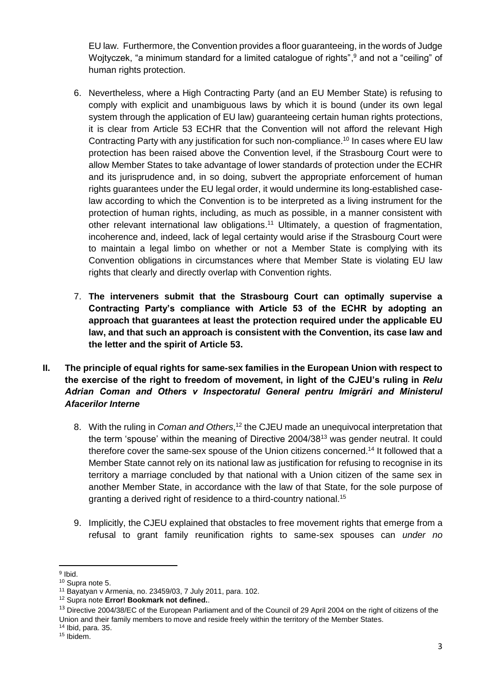EU law. Furthermore, the Convention provides a floor guaranteeing, in the words of Judge Wojtyczek, "a minimum standard for a limited catalogue of rights",<sup>9</sup> and not a "ceiling" of human rights protection.

- 6. Nevertheless, where a High Contracting Party (and an EU Member State) is refusing to comply with explicit and unambiguous laws by which it is bound (under its own legal system through the application of EU law) guaranteeing certain human rights protections, it is clear from Article 53 ECHR that the Convention will not afford the relevant High Contracting Party with any justification for such non-compliance.<sup>10</sup> In cases where EU law protection has been raised above the Convention level, if the Strasbourg Court were to allow Member States to take advantage of lower standards of protection under the ECHR and its jurisprudence and, in so doing, subvert the appropriate enforcement of human rights guarantees under the EU legal order, it would undermine its long-established caselaw according to which the Convention is to be interpreted as a living instrument for the protection of human rights, including, as much as possible, in a manner consistent with other relevant international law obligations.<sup>11</sup> Ultimately, a question of fragmentation, incoherence and, indeed, lack of legal certainty would arise if the Strasbourg Court were to maintain a legal limbo on whether or not a Member State is complying with its Convention obligations in circumstances where that Member State is violating EU law rights that clearly and directly overlap with Convention rights.
- 7. **The interveners submit that the Strasbourg Court can optimally supervise a Contracting Party's compliance with Article 53 of the ECHR by adopting an approach that guarantees at least the protection required under the applicable EU law, and that such an approach is consistent with the Convention, its case law and the letter and the spirit of Article 53.**
- **II. The principle of equal rights for same-sex families in the European Union with respect to the exercise of the right to freedom of movement, in light of the CJEU's ruling in** *Relu Adrian Coman and Others v Inspectoratul General pentru Imigrări and Ministerul Afacerilor Interne* 
	- 8. With the ruling in *Coman and Others*, <sup>12</sup> the CJEU made an unequivocal interpretation that the term 'spouse' within the meaning of Directive 2004/38<sup>13</sup> was gender neutral. It could therefore cover the same-sex spouse of the Union citizens concerned. <sup>14</sup> It followed that a Member State cannot rely on its national law as justification for refusing to recognise in its territory a marriage concluded by that national with a Union citizen of the same sex in another Member State, in accordance with the law of that State, for the sole purpose of granting a derived right of residence to a third-country national.<sup>15</sup>
	- 9. Implicitly, the CJEU explained that obstacles to free movement rights that emerge from a refusal to grant family reunification rights to same-sex spouses can *under no*

<sup>14</sup> Ibid, para. 35.

**<sup>.</sup>** <sup>9</sup> Ibid.

<sup>10</sup> Supra note 5.

<sup>11</sup> Bayatyan v Armenia, no. 23459/03, 7 July 2011, para. 102.

<sup>12</sup> Supra note **Error! Bookmark not defined.**.

<sup>&</sup>lt;sup>13</sup> Directive 2004/38/EC of the European Parliament and of the Council of 29 April 2004 on the right of citizens of the Union and their family members to move and reside freely within the territory of the Member States.

<sup>15</sup> Ibidem.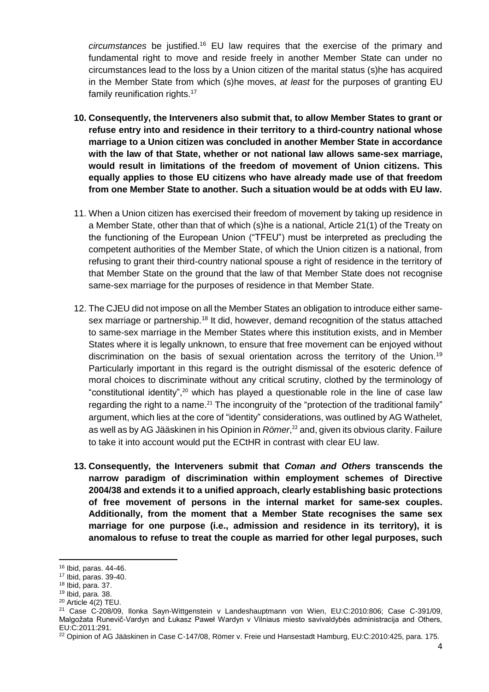*circumstances* be justified.<sup>16</sup> EU law requires that the exercise of the primary and fundamental right to move and reside freely in another Member State can under no circumstances lead to the loss by a Union citizen of the marital status (s)he has acquired in the Member State from which (s)he moves, *at least* for the purposes of granting EU family reunification rights.<sup>17</sup>

- **10. Consequently, the Interveners also submit that, to allow Member States to grant or refuse entry into and residence in their territory to a third-country national whose marriage to a Union citizen was concluded in another Member State in accordance with the law of that State, whether or not national law allows same-sex marriage, would result in limitations of the freedom of movement of Union citizens. This equally applies to those EU citizens who have already made use of that freedom from one Member State to another. Such a situation would be at odds with EU law.**
- 11. When a Union citizen has exercised their freedom of movement by taking up residence in a Member State, other than that of which (s)he is a national, Article 21(1) of the Treaty on the functioning of the European Union ("TFEU") must be interpreted as precluding the competent authorities of the Member State, of which the Union citizen is a national, from refusing to grant their third-country national spouse a right of residence in the territory of that Member State on the ground that the law of that Member State does not recognise same-sex marriage for the purposes of residence in that Member State.
- 12. The CJEU did not impose on all the Member States an obligation to introduce either samesex marriage or partnership.<sup>18</sup> It did, however, demand recognition of the status attached to same-sex marriage in the Member States where this institution exists, and in Member States where it is legally unknown, to ensure that free movement can be enjoyed without discrimination on the basis of sexual orientation across the territory of the Union.<sup>19</sup> Particularly important in this regard is the outright dismissal of the esoteric defence of moral choices to discriminate without any critical scrutiny, clothed by the terminology of "constitutional identity",<sup>20</sup> which has played a questionable role in the line of case law regarding the right to a name.<sup>21</sup> The incongruity of the "protection of the traditional family" argument, which lies at the core of "identity" considerations, was outlined by AG Wathelet, as well as by AG Jääskinen in his Opinion in *Römer*, <sup>22</sup> and, given its obvious clarity. Failure to take it into account would put the ECtHR in contrast with clear EU law.
- **13. Consequently, the Interveners submit that** *Coman and Others* **transcends the narrow paradigm of discrimination within employment schemes of Directive 2004/38 and extends it to a unified approach, clearly establishing basic protections of free movement of persons in the internal market for same-sex couples. Additionally, from the moment that a Member State recognises the same sex marriage for one purpose (i.e., admission and residence in its territory), it is anomalous to refuse to treat the couple as married for other legal purposes, such**

1

<sup>16</sup> Ibid, paras. 44-46.

<sup>17</sup> Ibid, paras. 39-40.

<sup>18</sup> Ibid, para. 37.

<sup>19</sup> Ibid, para. 38.

<sup>20</sup> Article 4(2) TEU.

<sup>21</sup> Case C-208/09, Ilonka Sayn-Wittgenstein v Landeshauptmann von Wien, EU:C:2010:806; Case C-391/09, Malgožata Runevič-Vardyn and Łukasz Paweł Wardyn v Vilniaus miesto savivaldybės administracija and Others, EU:C:2011:291.

<sup>22</sup> Opinion of AG Jääskinen in Case C-147/08, Römer v. Freie und Hansestadt Hamburg, EU:C:2010:425, para. 175.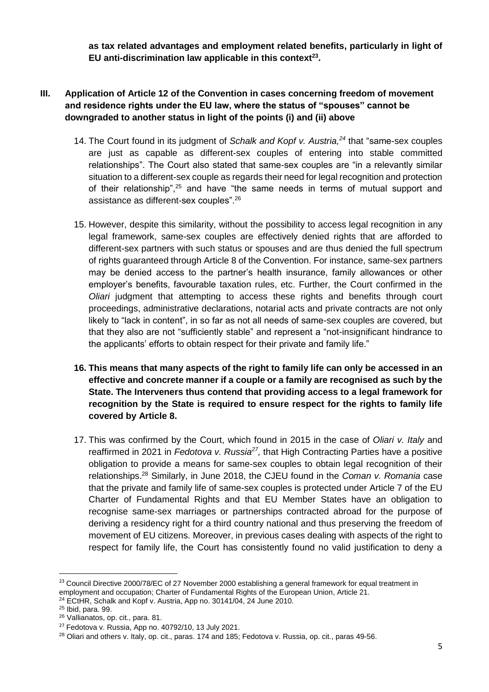**as tax related advantages and employment related benefits, particularly in light of EU anti-discrimination law applicable in this context<sup>23</sup> .**

### **III. Application of Article 12 of the Convention in cases concerning freedom of movement and residence rights under the EU law, where the status of "spouses" cannot be downgraded to another status in light of the points (i) and (ii) above**

- 14. The Court found in its judgment of *Schalk and Kopf v. Austria,<sup>24</sup>* that "same-sex couples are just as capable as different-sex couples of entering into stable committed relationships". The Court also stated that same-sex couples are "in a relevantly similar situation to a different-sex couple as regards their need for legal recognition and protection of their relationship",<sup>25</sup> and have "the same needs in terms of mutual support and assistance as different-sex couples".<sup>26</sup>
- 15. However, despite this similarity, without the possibility to access legal recognition in any legal framework, same-sex couples are effectively denied rights that are afforded to different-sex partners with such status or spouses and are thus denied the full spectrum of rights guaranteed through Article 8 of the Convention. For instance, same-sex partners may be denied access to the partner's health insurance, family allowances or other employer's benefits, favourable taxation rules, etc. Further, the Court confirmed in the *Oliari* judgment that attempting to access these rights and benefits through court proceedings, administrative declarations, notarial acts and private contracts are not only likely to "lack in content", in so far as not all needs of same-sex couples are covered, but that they also are not "sufficiently stable" and represent a "not-insignificant hindrance to the applicants' efforts to obtain respect for their private and family life."
- **16. This means that many aspects of the right to family life can only be accessed in an effective and concrete manner if a couple or a family are recognised as such by the State. The Interveners thus contend that providing access to a legal framework for recognition by the State is required to ensure respect for the rights to family life covered by Article 8.**
- 17. This was confirmed by the Court, which found in 2015 in the case of *Oliari v. Italy* and reaffirmed in 2021 in *Fedotova v. Russia<sup>27</sup>*, that High Contracting Parties have a positive obligation to provide a means for same-sex couples to obtain legal recognition of their relationships. <sup>28</sup> Similarly, in June 2018, the CJEU found in the *Coman v. Romania* case that the private and family life of same-sex couples is protected under Article 7 of the EU Charter of Fundamental Rights and that EU Member States have an obligation to recognise same-sex marriages or partnerships contracted abroad for the purpose of deriving a residency right for a third country national and thus preserving the freedom of movement of EU citizens. Moreover, in previous cases dealing with aspects of the right to respect for family life, the Court has consistently found no valid justification to deny a

**.** 

<sup>&</sup>lt;sup>23</sup> Council Directive 2000/78/EC of 27 November 2000 establishing a general framework for equal treatment in employment and occupation; Charter of Fundamental Rights of the European Union, Article 21.  $24$  ECtHR, Schalk and Kopf v. Austria, App no. 30141/04, 24 June 2010.

<sup>25</sup> Ibid, para. 99.

<sup>26</sup> Vallianatos, op. cit., para. 81.

 $27$  Fedotova v. Russia, App no. 40792/10, 13 July 2021.

<sup>&</sup>lt;sup>28</sup> Oliari and others v. Italy, op. cit., paras. 174 and 185; Fedotova v. Russia, op. cit., paras 49-56.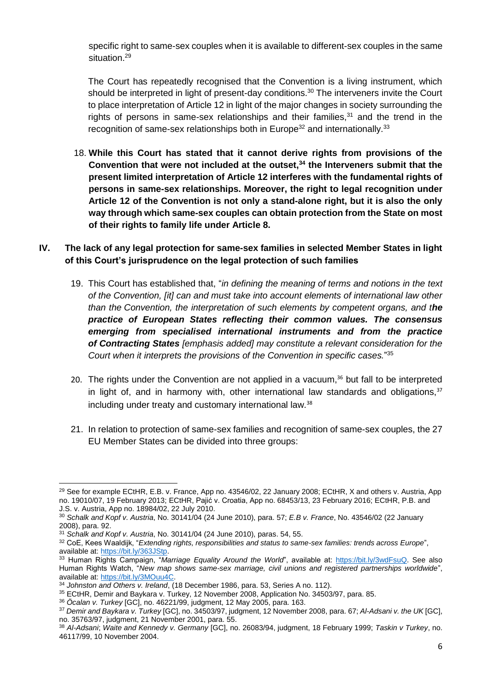specific right to same-sex couples when it is available to different-sex couples in the same situation.<sup>29</sup>

The Court has repeatedly recognised that the Convention is a living instrument, which should be interpreted in light of present-day conditions.<sup>30</sup> The interveners invite the Court to place interpretation of Article 12 in light of the major changes in society surrounding the rights of persons in same-sex relationships and their families, $31$  and the trend in the recognition of same-sex relationships both in Europe $32$  and internationally.<sup>33</sup>

18. **While this Court has stated that it cannot derive rights from provisions of the Convention that were not included at the outset,<sup>34</sup> the Interveners submit that the present limited interpretation of Article 12 interferes with the fundamental rights of persons in same-sex relationships. Moreover, the right to legal recognition under Article 12 of the Convention is not only a stand-alone right, but it is also the only way through which same-sex couples can obtain protection from the State on most of their rights to family life under Article 8.** 

#### **IV. The lack of any legal protection for same-sex families in selected Member States in light of this Court's jurisprudence on the legal protection of such families**

- 19. This Court has established that, "*in defining the meaning of terms and notions in the text of the Convention, [it] can and must take into account elements of international law other than the Convention, the interpretation of such elements by competent organs, and the practice of European States reflecting their common values. The consensus emerging from specialised international instruments and from the practice of Contracting States [emphasis added] may constitute a relevant consideration for the Court when it interprets the provisions of the Convention in specific cases.*" 35
- 20. The rights under the Convention are not applied in a vacuum, $36$  but fall to be interpreted in light of, and in harmony with, other international law standards and obligations. $37$ including under treaty and customary international law.<sup>38</sup>
- 21. In relation to protection of same-sex families and recognition of same-sex couples, the 27 EU Member States can be divided into three groups:

**.** 

<sup>29</sup> See for example ECtHR, E.B. v. France, App no. 43546/02, 22 January 2008; ECtHR, X and others v. Austria, App no. 19010/07, 19 February 2013; ECtHR, Pajić v. Croatia, App no. 68453/13, 23 February 2016; ECtHR, P.B. and J.S. v. Austria, App no. 18984/02, 22 July 2010.

<sup>30</sup> *Schalk and Kopf v. Austria*, No. 30141/04 (24 June 2010), para. 57; *E.B v. France*, No. 43546/02 (22 January 2008), para. 92.

<sup>31</sup> *Schalk and Kopf v. Austria*, No. 30141/04 (24 June 2010), paras. 54, 55.

<sup>32</sup> CoE, Kees Waaldijk, "*Extending rights, responsibilities and status to same-sex families: trends across Europe*", available at[: https://bit.ly/363JStp.](https://bit.ly/363JStp)

<sup>33</sup> Human Rights Campaign, "*Marriage Equality Around the World*", available at: [https://bit.ly/3wdFsuQ.](https://bit.ly/3wdFsuQ) See also Human Rights Watch, "*New map shows same-sex marriage, civil unions and registered partnerships worldwide*", available at[: https://bit.ly/3MOuu4C.](https://bit.ly/3MOuu4C)

<sup>34</sup> *Johnston and Others v. Ireland*, (18 December 1986, para. 53, Series A no. 112).

<sup>&</sup>lt;sup>35</sup> ECtHR, Demir and Baykara v. Turkey, 12 November 2008, Application No. 34503/97, para. 85.

<sup>36</sup> *Öcalan v. Turkey* [GC], no. 46221/99, judgment, 12 May 2005, para. 163.

<sup>37</sup> *Demir and Baykara v. Turkey* [GC], no. 34503/97, judgment, 12 November 2008, para. 67; *Al-Adsani v. the UK* [GC], no. 35763/97, judgment, 21 November 2001, para. 55.

<sup>38</sup> *Al-Adsani*; *Waite and Kennedy v. Germany* [GC], no. 26083/94, judgment, 18 February 1999; *Taskin v Turkey*, no. 46117/99, 10 November 2004.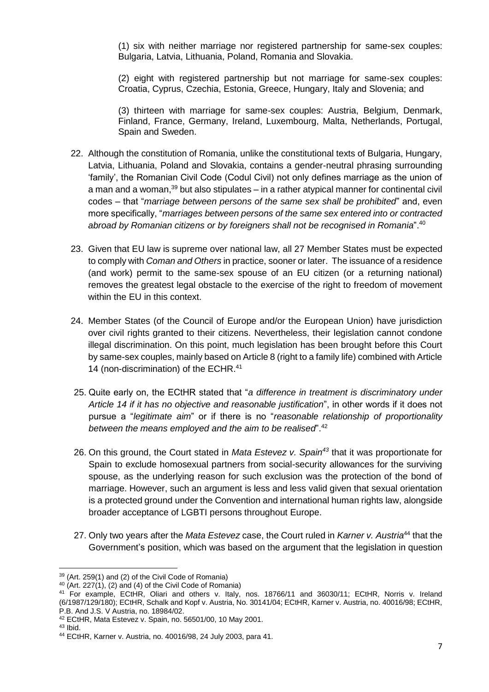(1) six with neither marriage nor registered partnership for same-sex couples: Bulgaria, Latvia, Lithuania, Poland, Romania and Slovakia.

(2) eight with registered partnership but not marriage for same-sex couples: Croatia, Cyprus, Czechia, Estonia, Greece, Hungary, Italy and Slovenia; and

(3) thirteen with marriage for same-sex couples: Austria, Belgium, Denmark, Finland, France, Germany, Ireland, Luxembourg, Malta, Netherlands, Portugal, Spain and Sweden.

- 22. Although the constitution of Romania, unlike the constitutional texts of Bulgaria, Hungary, Latvia, Lithuania, Poland and Slovakia, contains a gender-neutral phrasing surrounding 'family', the Romanian Civil Code (Codul Civil) not only defines marriage as the union of a man and a woman,<sup>39</sup> but also stipulates – in a rather atypical manner for continental civil codes – that "*marriage between persons of the same sex shall be prohibited*" and, even more specifically, "*marriages between persons of the same sex entered into or contracted abroad by Romanian citizens or by foreigners shall not be recognised in Romania*".<sup>40</sup>
- 23. Given that EU law is supreme over national law, all 27 Member States must be expected to comply with *Coman and Others* in practice, sooner or later. The issuance of a residence (and work) permit to the same-sex spouse of an EU citizen (or a returning national) removes the greatest legal obstacle to the exercise of the right to freedom of movement within the EU in this context.
- 24. Member States (of the Council of Europe and/or the European Union) have jurisdiction over civil rights granted to their citizens. Nevertheless, their legislation cannot condone illegal discrimination. On this point, much legislation has been brought before this Court by same-sex couples, mainly based on Article 8 (right to a family life) combined with Article 14 (non-discrimination) of the ECHR.<sup>41</sup>
- 25. Quite early on, the ECtHR stated that "*a difference in treatment is discriminatory under Article 14 if it has no objective and reasonable justification*", in other words if it does not pursue a "*legitimate aim*" or if there is no "*reasonable relationship of proportionality between the means employed and the aim to be realised*".<sup>42</sup>
- 26. On this ground, the Court stated in *Mata Estevez v. Spain<sup>43</sup>* that it was proportionate for Spain to exclude homosexual partners from social-security allowances for the surviving spouse, as the underlying reason for such exclusion was the protection of the bond of marriage. However, such an argument is less and less valid given that sexual orientation is a protected ground under the Convention and international human rights law, alongside broader acceptance of LGBTI persons throughout Europe.
- 27. Only two years after the *Mata Estevez* case, the Court ruled in *Karner v. Austria*<sup>44</sup> that the Government's position, which was based on the argument that the legislation in question

**.** 

<sup>39</sup> (Art. 259(1) and (2) of the Civil Code of Romania)

 $40$  (Art. 227(1), (2) and (4) of the Civil Code of Romania)

<sup>41</sup> For example, ECtHR, Oliari and others v. Italy, nos. 18766/11 and 36030/11; ECtHR, Norris v. Ireland (6/1987/129/180); ECtHR, Schalk and Kopf v. Austria, No. 30141/04; ECtHR, Karner v. Austria, no. 40016/98; ECtHR, P.B. And J.S. V Austria, no. 18984/02.

<sup>42</sup> ECtHR, Mata Estevez v. Spain, no. 56501/00, 10 May 2001.

 $43$  Ibid.

<sup>44</sup> ECtHR, Karner v. Austria, no. 40016/98, 24 July 2003, para 41.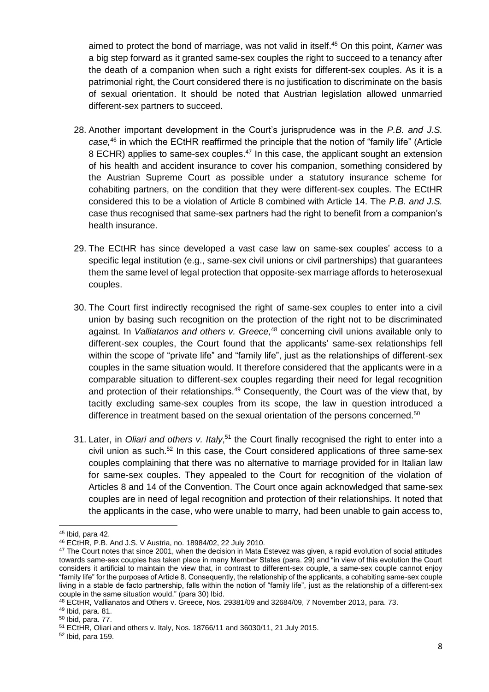aimed to protect the bond of marriage, was not valid in itself. <sup>45</sup> On this point, *Karner* was a big step forward as it granted same-sex couples the right to succeed to a tenancy after the death of a companion when such a right exists for different-sex couples. As it is a patrimonial right, the Court considered there is no justification to discriminate on the basis of sexual orientation. It should be noted that Austrian legislation allowed unmarried different-sex partners to succeed.

- 28. Another important development in the Court's jurisprudence was in the *P.B. and J.S. case,* <sup>46</sup> in which the ECtHR reaffirmed the principle that the notion of "family life" (Article 8 ECHR) applies to same-sex couples.<sup>47</sup> In this case, the applicant sought an extension of his health and accident insurance to cover his companion, something considered by the Austrian Supreme Court as possible under a statutory insurance scheme for cohabiting partners, on the condition that they were different-sex couples. The ECtHR considered this to be a violation of Article 8 combined with Article 14. The *P.B. and J.S.* case thus recognised that same-sex partners had the right to benefit from a companion's health insurance.
- 29. The ECtHR has since developed a vast case law on same-sex couples' access to a specific legal institution (e.g., same-sex civil unions or civil partnerships) that guarantees them the same level of legal protection that opposite-sex marriage affords to heterosexual couples.
- <span id="page-8-1"></span>30. The Court first indirectly recognised the right of same-sex couples to enter into a civil union by basing such recognition on the protection of the right not to be discriminated against. In *Valliatanos and others v. Greece,* <sup>48</sup> concerning civil unions available only to different-sex couples, the Court found that the applicants' same-sex relationships fell within the scope of "private life" and "family life", just as the relationships of different-sex couples in the same situation would. It therefore considered that the applicants were in a comparable situation to different-sex couples regarding their need for legal recognition and protection of their relationships.<sup>49</sup> Consequently, the Court was of the view that, by tacitly excluding same-sex couples from its scope, the law in question introduced a difference in treatment based on the sexual orientation of the persons concerned.<sup>50</sup>
- <span id="page-8-0"></span>31. Later, in *Oliari and others v. Italy*,<sup>51</sup> the Court finally recognised the right to enter into a civil union as such.<sup>52</sup> In this case, the Court considered applications of three same-sex couples complaining that there was no alternative to marriage provided for in Italian law for same-sex couples. They appealed to the Court for recognition of the violation of Articles 8 and 14 of the Convention. The Court once again acknowledged that same-sex couples are in need of legal recognition and protection of their relationships. It noted that the applicants in the case, who were unable to marry, had been unable to gain access to,

**<sup>.</sup>**  $45$  Ibid, para 42.

<sup>46</sup> ECtHR, P.B. And J.S. V Austria, no. 18984/02, 22 July 2010.

 $47$  The Court notes that since 2001, when the decision in Mata Estevez was given, a rapid evolution of social attitudes towards same-sex couples has taken place in many Member States (para. 29) and "in view of this evolution the Court considers it artificial to maintain the view that, in contrast to different-sex couple, a same-sex couple cannot enjoy "family life" for the purposes of Article 8. Consequently, the relationship of the applicants, a cohabiting same-sex couple living in a stable de facto partnership, falls within the notion of "family life", just as the relationship of a different-sex couple in the same situation would." (para 30) Ibid.

<sup>48</sup> ECtHR, Vallianatos and Others v. Greece, Nos. 29381/09 and 32684/09, 7 November 2013, para. 73.

<sup>49</sup> Ibid, para. 81.

<sup>50</sup> Ibid, para. 77.

<sup>51</sup> ECtHR, Oliari and others v. Italy, Nos. 18766/11 and 36030/11, 21 July 2015.

<sup>52</sup> Ibid, para 159.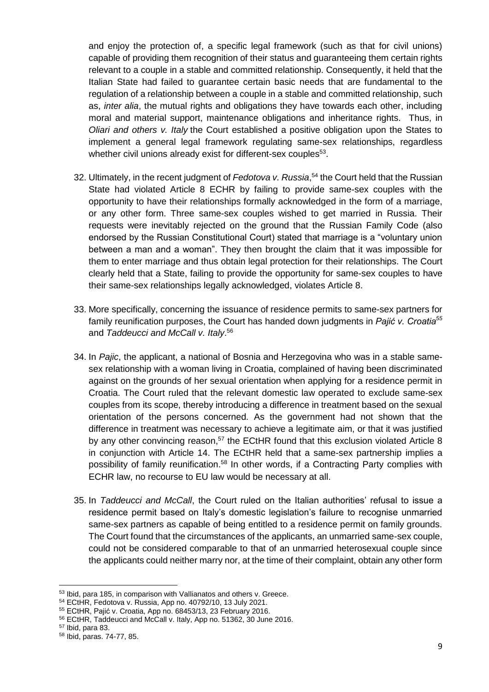and enjoy the protection of, a specific legal framework (such as that for civil unions) capable of providing them recognition of their status and guaranteeing them certain rights relevant to a couple in a stable and committed relationship. Consequently, it held that the Italian State had failed to guarantee certain basic needs that are fundamental to the regulation of a relationship between a couple in a stable and committed relationship, such as, *inter alia*, the mutual rights and obligations they have towards each other, including moral and material support, maintenance obligations and inheritance rights. Thus, in *Oliari and others v. Italy* the Court established a positive obligation upon the States to implement a general legal framework regulating same-sex relationships, regardless whether civil unions already exist for different-sex couples<sup>53</sup>.

- 32. Ultimately, in the recent judgment of *Fedotova v. Russia*, <sup>54</sup> the Court held that the Russian State had violated Article 8 ECHR by failing to provide same-sex couples with the opportunity to have their relationships formally acknowledged in the form of a marriage, or any other form. Three same-sex couples wished to get married in Russia. Their requests were inevitably rejected on the ground that the Russian Family Code (also endorsed by the Russian Constitutional Court) stated that marriage is a "voluntary union between a man and a woman". They then brought the claim that it was impossible for them to enter marriage and thus obtain legal protection for their relationships. The Court clearly held that a State, failing to provide the opportunity for same-sex couples to have their same-sex relationships legally acknowledged, violates Article 8.
- <span id="page-9-1"></span><span id="page-9-0"></span>33. More specifically, concerning the issuance of residence permits to same-sex partners for family reunification purposes, the Court has handed down judgments in *Pajić v. Croatia<sup>55</sup>* and *Taddeucci and McCall v. Italy*. 56
- 34. In *Pajic*, the applicant, a national of Bosnia and Herzegovina who was in a stable samesex relationship with a woman living in Croatia, complained of having been discriminated against on the grounds of her sexual orientation when applying for a residence permit in Croatia. The Court ruled that the relevant domestic law operated to exclude same-sex couples from its scope, thereby introducing a difference in treatment based on the sexual orientation of the persons concerned. As the government had not shown that the difference in treatment was necessary to achieve a legitimate aim, or that it was justified by any other convincing reason,<sup>57</sup> the ECtHR found that this exclusion violated Article 8 in conjunction with Article 14. The ECtHR held that a same-sex partnership implies a possibility of family reunification.<sup>58</sup> In other words, if a Contracting Party complies with ECHR law, no recourse to EU law would be necessary at all.
- 35. In *Taddeucci and McCall*, the Court ruled on the Italian authorities' refusal to issue a residence permit based on Italy's domestic legislation's failure to recognise unmarried same-sex partners as capable of being entitled to a residence permit on family grounds. The Court found that the circumstances of the applicants, an unmarried same-sex couple, could not be considered comparable to that of an unmarried heterosexual couple since the applicants could neither marry nor, at the time of their complaint, obtain any other form

<sup>57</sup> Ibid, para 83.

1

<sup>53</sup> Ibid, para 185, in comparison with Vallianatos and others v. Greece.

<sup>54</sup> ECtHR, Fedotova v. Russia, App no. 40792/10, 13 July 2021.

<sup>55</sup> ECtHR, Pajić v. Croatia, App no. 68453/13, 23 February 2016.

<sup>56</sup> ECtHR, Taddeucci and McCall v. Italy, App no. 51362, 30 June 2016.

<sup>58</sup> Ibid, paras. 74-77, 85.